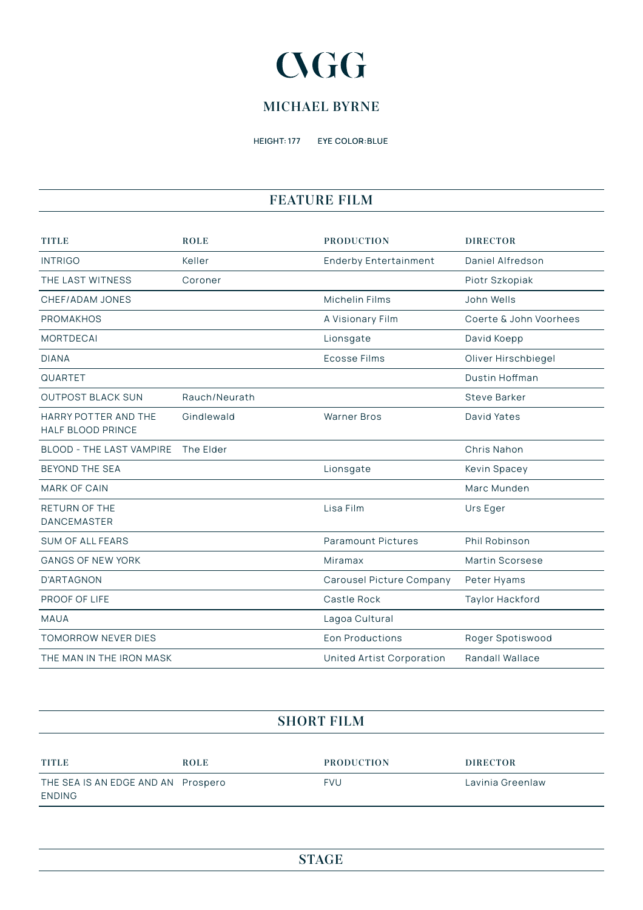# **CGG**

### **MICHAEL BYRNE**

HEIGHT: 177 EYE COLOR:BLUE

#### **FEATURE FILM**

| <b>TITLE</b>                                     | <b>ROLE</b>   | <b>PRODUCTION</b>            | <b>DIRECTOR</b>        |
|--------------------------------------------------|---------------|------------------------------|------------------------|
| <b>INTRIGO</b>                                   | Keller        | <b>Enderby Entertainment</b> | Daniel Alfredson       |
| THE LAST WITNESS                                 | Coroner       |                              | Piotr Szkopiak         |
| CHEF/ADAM JONES                                  |               | Michelin Films               | John Wells             |
| <b>PROMAKHOS</b>                                 |               | A Visionary Film             | Coerte & John Voorhees |
| <b>MORTDECAI</b>                                 |               | Lionsgate                    | David Koepp            |
| <b>DIANA</b>                                     |               | <b>Ecosse Films</b>          | Oliver Hirschbiegel    |
| QUARTET                                          |               |                              | Dustin Hoffman         |
| <b>OUTPOST BLACK SUN</b>                         | Rauch/Neurath |                              | <b>Steve Barker</b>    |
| HARRY POTTER AND THE<br><b>HALF BLOOD PRINCE</b> | Gindlewald    | <b>Warner Bros</b>           | David Yates            |
| <b>BLOOD - THE LAST VAMPIRE</b>                  | The Elder     |                              | Chris Nahon            |
| <b>BEYOND THE SEA</b>                            |               | Lionsgate                    | Kevin Spacey           |
| <b>MARK OF CAIN</b>                              |               |                              | Marc Munden            |
| <b>RETURN OF THE</b><br><b>DANCEMASTER</b>       |               | Lisa Film                    | Urs Eger               |
| <b>SUM OF ALL FEARS</b>                          |               | <b>Paramount Pictures</b>    | Phil Robinson          |
| <b>GANGS OF NEW YORK</b>                         |               | Miramax                      | Martin Scorsese        |
| <b>D'ARTAGNON</b>                                |               | Carousel Picture Company     | Peter Hyams            |
| PROOF OF LIFE                                    |               | Castle Rock                  | Taylor Hackford        |
| <b>MAUA</b>                                      |               | Lagoa Cultural               |                        |
| <b>TOMORROW NEVER DIES</b>                       |               | <b>Eon Productions</b>       | Roger Spotiswood       |
| THE MAN IN THE IRON MASK                         |               | United Artist Corporation    | Randall Wallace        |

#### **SHORT FILM**

| <b>TITLE</b>                                 | <b>ROLE</b> | <b>PRODUCTION</b> | <b>DIRECTOR</b>  |
|----------------------------------------------|-------------|-------------------|------------------|
| THE SEA IS AN EDGE AND AN Prospero<br>ENDING |             | <b>FVU</b>        | Lavinia Greenlaw |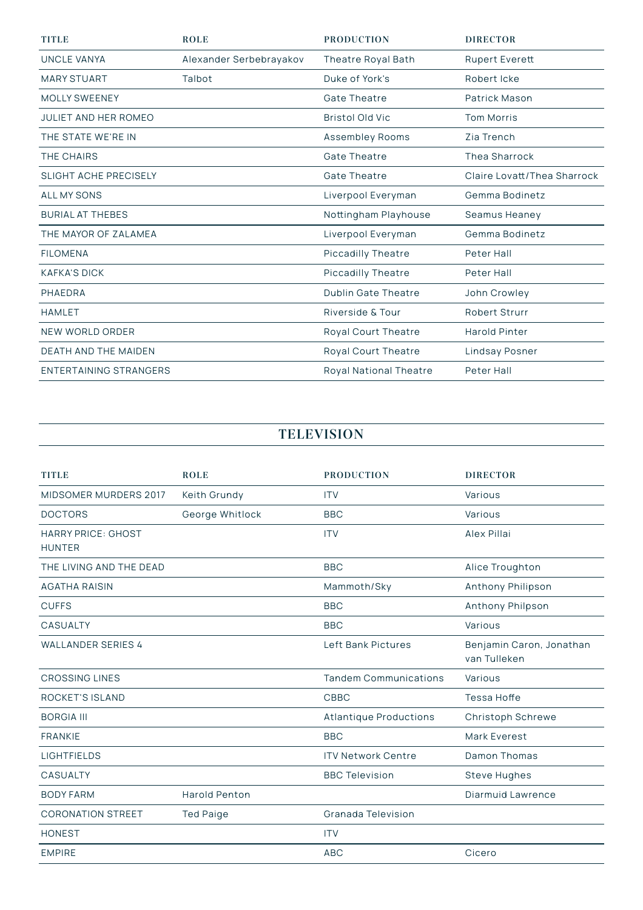| <b>TITLE</b>                | <b>ROLE</b>             | <b>PRODUCTION</b>             | <b>DIRECTOR</b>             |
|-----------------------------|-------------------------|-------------------------------|-----------------------------|
| <b>UNCLE VANYA</b>          | Alexander Serbebrayakov | Theatre Royal Bath            | Rupert Everett              |
| <b>MARY STUART</b>          | Talbot                  | Duke of York's                | Robert Icke                 |
| <b>MOLLY SWEENEY</b>        |                         | <b>Gate Theatre</b>           | Patrick Mason               |
| <b>JULIET AND HER ROMEO</b> |                         | <b>Bristol Old Vic</b>        | <b>Tom Morris</b>           |
| THE STATE WE'RE IN          |                         | Assembley Rooms               | Zia Trench                  |
| THE CHAIRS                  |                         | <b>Gate Theatre</b>           | <b>Thea Sharrock</b>        |
| SLIGHT ACHE PRECISELY       |                         | <b>Gate Theatre</b>           | Claire Lovatt/Thea Sharrock |
| <b>ALL MY SONS</b>          |                         | Liverpool Everyman            | Gemma Bodinetz              |
| <b>BURIAL AT THEBES</b>     |                         | Nottingham Playhouse          | Seamus Heaney               |
| THE MAYOR OF ZALAMEA        |                         | Liverpool Everyman            | Gemma Bodinetz              |
| <b>FILOMENA</b>             |                         | Piccadilly Theatre            | Peter Hall                  |
| <b>KAFKA'S DICK</b>         |                         | Piccadilly Theatre            | Peter Hall                  |
| PHAEDRA                     |                         | <b>Dublin Gate Theatre</b>    | John Crowley                |
| <b>HAMLET</b>               |                         | Riverside & Tour              | <b>Robert Strurr</b>        |
| NEW WORLD ORDER             |                         | Royal Court Theatre           | <b>Harold Pinter</b>        |
| <b>DEATH AND THE MAIDEN</b> |                         | Royal Court Theatre           | Lindsay Posner              |
| ENTERTAINING STRANGERS      |                         | <b>Royal National Theatre</b> | Peter Hall                  |

## **TELEVISION**

| <b>TITLE</b>                               | <b>ROLE</b>      | <b>PRODUCTION</b>             | <b>DIRECTOR</b>                          |
|--------------------------------------------|------------------|-------------------------------|------------------------------------------|
| MIDSOMER MURDERS 2017                      | Keith Grundy     | <b>ITV</b>                    | Various                                  |
| <b>DOCTORS</b>                             | George Whitlock  | <b>BBC</b>                    | Various                                  |
| <b>HARRY PRICE: GHOST</b><br><b>HUNTER</b> |                  | <b>ITV</b>                    | Alex Pillai                              |
| THE LIVING AND THE DEAD                    |                  | <b>BBC</b>                    | Alice Troughton                          |
| <b>AGATHA RAISIN</b>                       |                  | Mammoth/Sky                   | Anthony Philipson                        |
| <b>CUFFS</b>                               |                  | <b>BBC</b>                    | Anthony Philpson                         |
| <b>CASUALTY</b>                            |                  | <b>BBC</b>                    | Various                                  |
| <b>WALLANDER SERIES 4</b>                  |                  | Left Bank Pictures            | Benjamin Caron, Jonathan<br>van Tulleken |
| <b>CROSSING LINES</b>                      |                  | <b>Tandem Communications</b>  | Various                                  |
| ROCKET'S ISLAND                            |                  | <b>CBBC</b>                   | Tessa Hoffe                              |
| <b>BORGIA III</b>                          |                  | <b>Atlantique Productions</b> | Christoph Schrewe                        |
| <b>FRANKIE</b>                             |                  | <b>BBC</b>                    | Mark Everest                             |
| <b>LIGHTFIELDS</b>                         |                  | <b>ITV Network Centre</b>     | Damon Thomas                             |
| <b>CASUALTY</b>                            |                  | <b>BBC Television</b>         | <b>Steve Hughes</b>                      |
| <b>BODY FARM</b>                           | Harold Penton    |                               | Diarmuid Lawrence                        |
| <b>CORONATION STREET</b>                   | <b>Ted Paige</b> | Granada Television            |                                          |
| <b>HONEST</b>                              |                  | <b>ITV</b>                    |                                          |
| <b>EMPIRE</b>                              |                  | <b>ABC</b>                    | Cicero                                   |